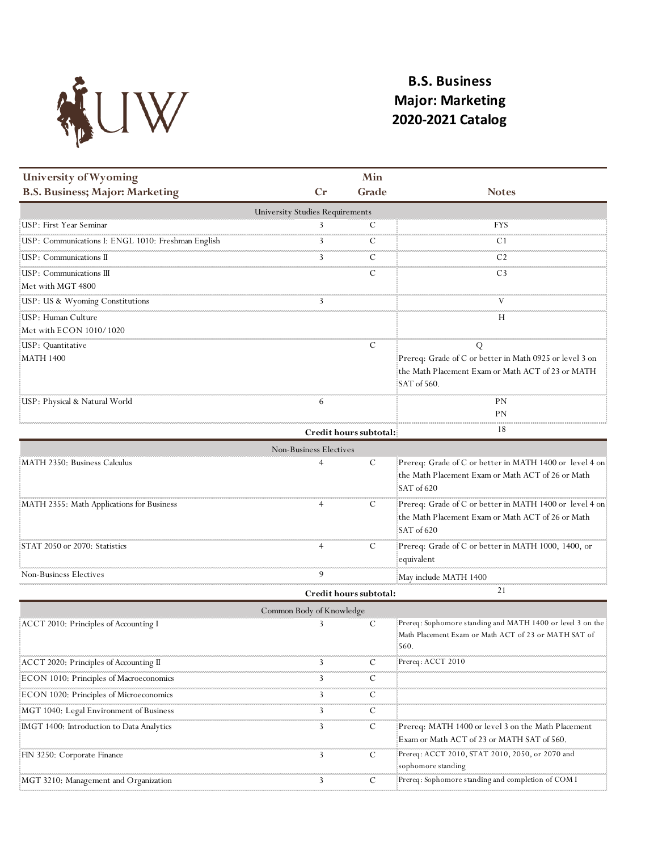

## **B.S. Business Major: Marketing 2020-2021 Catalog**

| University of Wyoming                              |                                        | Min                    |                                                                                                                                  |
|----------------------------------------------------|----------------------------------------|------------------------|----------------------------------------------------------------------------------------------------------------------------------|
| <b>B.S. Business; Major: Marketing</b>             | $C_{r}$                                | Grade                  | <b>Notes</b>                                                                                                                     |
|                                                    | <b>University Studies Requirements</b> |                        |                                                                                                                                  |
| USP: First Year Seminar                            | 3                                      | С                      | FYS                                                                                                                              |
| USP: Communications I: ENGL 1010: Freshman English | 3                                      | С                      | C1                                                                                                                               |
| USP: Communications II                             | 3                                      | C                      | C <sub>2</sub>                                                                                                                   |
| USP: Communications III<br>Met with MGT 4800       |                                        | С                      | C <sub>3</sub>                                                                                                                   |
| USP: US & Wyoming Constitutions                    | 3                                      |                        |                                                                                                                                  |
| USP: Human Culture<br>Met with ECON 1010/1020      |                                        |                        | Н                                                                                                                                |
| USP: Quantitative<br>MATH 1400                     |                                        | С                      | Q<br>Prereq: Grade of C or better in Math 0925 or level 3 on<br>the Math Placement Exam or Math ACT of 23 or MATH<br>SAT of 560. |
| USP: Physical & Natural World                      | 6                                      |                        | PΝ<br>ΡN                                                                                                                         |
|                                                    |                                        | Credit hours subtotal: | 18                                                                                                                               |
|                                                    | Non-Business Electives                 |                        |                                                                                                                                  |
| MATH 2350: Business Calculus                       |                                        | C                      | Prereq: Grade of C or better in MATH 1400 or level 4 on<br>the Math Placement Exam or Math ACT of 26 or Math<br>SAT of 620       |
| MATH 2355: Math Applications for Business          |                                        | С                      | Prereq: Grade of C or better in MATH 1400 or level 4 on<br>the Math Placement Exam or Math ACT of 26 or Math<br>SAT of 620       |
| STAT 2050 or 2070: Statistics                      |                                        | C                      | Prereq: Grade of C or better in MATH 1000, 1400, or<br>equivalent                                                                |
| Non-Business Electives                             | 9                                      |                        | May include MATH 1400                                                                                                            |
|                                                    |                                        | Credit hours subtotal: | 21                                                                                                                               |
|                                                    | Common Body of Knowledge               |                        |                                                                                                                                  |
| ACCT 2010: Principles of Accounting I              | 3                                      | C                      | Prereq: Sophomore standing and MATH 1400 or level 3 on the<br>Math Placement Exam or Math ACT of 23 or MATH SAT of<br>560.       |
| ACCT 2020: Principles of Accounting II             | 3                                      | С                      | Prereq: ACCT 2010                                                                                                                |
| ECON 1010: Principles of Macroeconomics            | 3                                      | С                      |                                                                                                                                  |
| ECON 1020: Principles of Microeconomics            | 3                                      | C                      |                                                                                                                                  |
| MGT 1040: Legal Environment of Business            | 3                                      | С                      |                                                                                                                                  |
| [IMGT 1400: Introduction to Data Analytics]        | 3                                      | C                      | Prereq: MATH 1400 or level 3 on the Math Placement<br>Exam or Math ACT of 23 or MATH SAT of 560.                                 |
| FIN 3250: Corporate Finance                        | 3                                      | C                      | Prereq: ACCT 2010, STAT 2010, 2050, or 2070 and<br>sophomore standing                                                            |
| MGT 3210: Management and Organization              | 3                                      | C                      | Prereq: Sophomore standing and completion of COM I                                                                               |